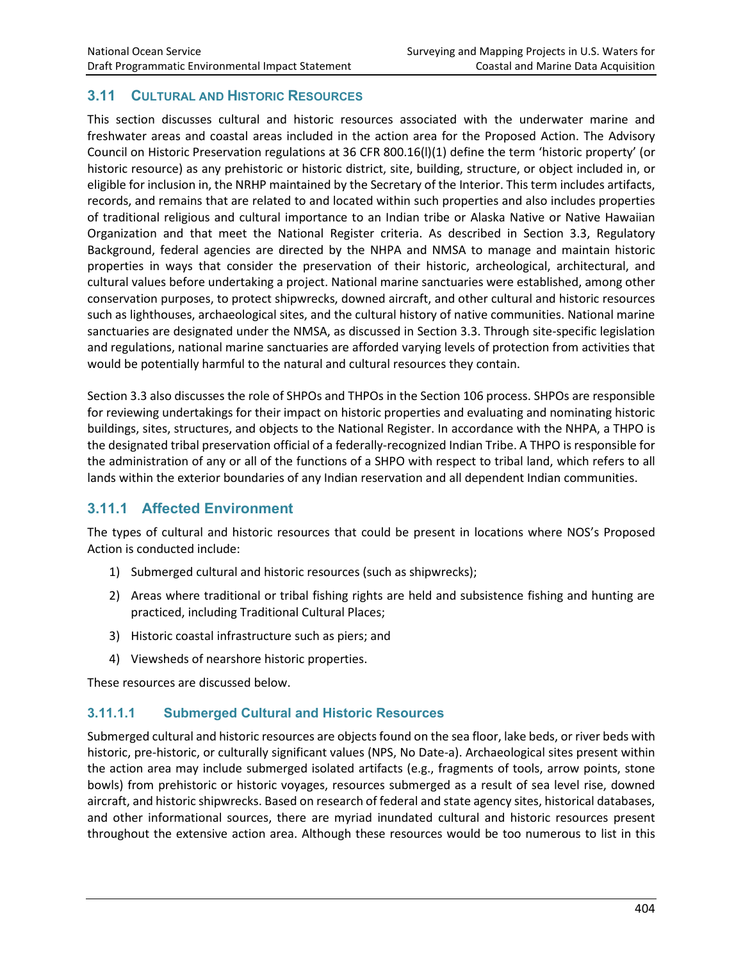# **3.11 CULTURAL AND HISTORIC RESOURCES**

This section discusses cultural and historic resources associated with the underwater marine and freshwater areas and coastal areas included in the action area for the Proposed Action. The Advisory Council on Historic Preservation regulations at 36 CFR 800.16(l)(1) define the term 'historic property' (or historic resource) as any prehistoric or historic district, site, building, structure, or object included in, or eligible for inclusion in, the NRHP maintained by the Secretary of the Interior. This term includes artifacts, records, and remains that are related to and located within such properties and also includes properties of traditional religious and cultural importance to an Indian tribe or Alaska Native or Native Hawaiian Organization and that meet the National Register criteria. As described in Section 3.3, Regulatory Background, federal agencies are directed by the NHPA and NMSA to manage and maintain historic properties in ways that consider the preservation of their historic, archeological, architectural, and cultural values before undertaking a project. National marine sanctuaries were established, among other conservation purposes, to protect shipwrecks, downed aircraft, and other cultural and historic resources such as lighthouses, archaeological sites, and the cultural history of native communities. National marine sanctuaries are designated under the NMSA, as discussed in Section 3.3. Through site-specific legislation and regulations, national marine sanctuaries are afforded varying levels of protection from activities that would be potentially harmful to the natural and cultural resources they contain.

Section 3.3 also discusses the role of SHPOs and THPOs in the Section 106 process. SHPOs are responsible for reviewing undertakings for their impact on historic properties and evaluating and nominating historic buildings, sites, structures, and objects to the National Register. In accordance with the NHPA, a THPO is the designated tribal preservation official of a federally-recognized Indian Tribe. A THPO is responsible for the administration of any or all of the functions of a SHPO with respect to tribal land, which refers to all lands within the exterior boundaries of any Indian reservation and all dependent Indian communities.

# **3.11.1 Affected Environment**

The types of cultural and historic resources that could be present in locations where NOS's Proposed Action is conducted include:

- 1) Submerged cultural and historic resources (such as shipwrecks);
- 2) Areas where traditional or tribal fishing rights are held and subsistence fishing and hunting are practiced, including Traditional Cultural Places;
- 3) Historic coastal infrastructure such as piers; and
- 4) Viewsheds of nearshore historic properties.

These resources are discussed below.

### **3.11.1.1 Submerged Cultural and Historic Resources**

Submerged cultural and historic resources are objects found on the sea floor, lake beds, or river beds with historic, pre-historic, or culturally significant values (NPS, No Date-a). Archaeological sites present within the action area may include submerged isolated artifacts (e.g., fragments of tools, arrow points, stone bowls) from prehistoric or historic voyages, resources submerged as a result of sea level rise, downed aircraft, and historic shipwrecks. Based on research of federal and state agency sites, historical databases, and other informational sources, there are myriad inundated cultural and historic resources present throughout the extensive action area. Although these resources would be too numerous to list in this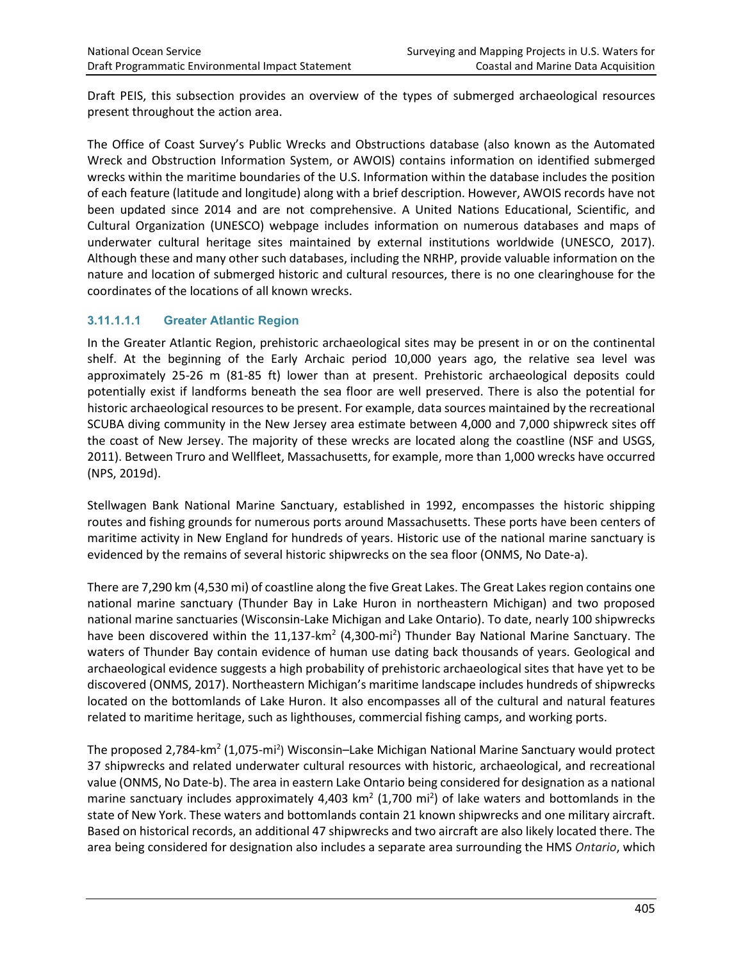Draft PEIS, this subsection provides an overview of the types of submerged archaeological resources present throughout the action area.

The Office of Coast Survey's Public Wrecks and Obstructions database (also known as the Automated Wreck and Obstruction Information System, or AWOIS) contains information on identified submerged wrecks within the maritime boundaries of the U.S. Information within the database includes the position of each feature (latitude and longitude) along with a brief description. However, AWOIS records have not been updated since 2014 and are not comprehensive. A United Nations Educational, Scientific, and Cultural Organization (UNESCO) webpage includes information on numerous databases and maps of underwater cultural heritage sites maintained by external institutions worldwide (UNESCO, 2017). Although these and many other such databases, including the NRHP, provide valuable information on the nature and location of submerged historic and cultural resources, there is no one clearinghouse for the coordinates of the locations of all known wrecks.

### **3.11.1.1.1 Greater Atlantic Region**

In the Greater Atlantic Region, prehistoric archaeological sites may be present in or on the continental shelf. At the beginning of the Early Archaic period 10,000 years ago, the relative sea level was approximately 25-26 m (81-85 ft) lower than at present. Prehistoric archaeological deposits could potentially exist if landforms beneath the sea floor are well preserved. There is also the potential for historic archaeological resources to be present. For example, data sources maintained by the recreational SCUBA diving community in the New Jersey area estimate between 4,000 and 7,000 shipwreck sites off the coast of New Jersey. The majority of these wrecks are located along the coastline (NSF and USGS, 2011). Between Truro and Wellfleet, Massachusetts, for example, more than 1,000 wrecks have occurred (NPS, 2019d).

Stellwagen Bank National Marine Sanctuary, established in 1992, encompasses the historic shipping routes and fishing grounds for numerous ports around Massachusetts. These ports have been centers of maritime activity in New England for hundreds of years. Historic use of the national marine sanctuary is evidenced by the remains of several historic shipwrecks on the sea floor (ONMS, No Date-a).

There are 7,290 km (4,530 mi) of coastline along the five Great Lakes. The Great Lakes region contains one national marine sanctuary (Thunder Bay in Lake Huron in northeastern Michigan) and two proposed national marine sanctuaries (Wisconsin-Lake Michigan and Lake Ontario). To date, nearly 100 shipwrecks have been discovered within the 11,137-km<sup>2</sup> (4,300-mi<sup>2</sup>) Thunder Bay National Marine Sanctuary. The waters of Thunder Bay contain evidence of human use dating back thousands of years. Geological and archaeological evidence suggests a high probability of prehistoric archaeological sites that have yet to be discovered (ONMS, 2017). Northeastern Michigan's maritime landscape includes hundreds of shipwrecks located on the bottomlands of Lake Huron. It also encompasses all of the cultural and natural features related to maritime heritage, such as lighthouses, commercial fishing camps, and working ports.

The proposed 2,784-km<sup>2</sup> (1,075-mi<sup>2</sup>) Wisconsin–Lake Michigan National Marine Sanctuary would protect 37 shipwrecks and related underwater cultural resources with historic, archaeological, and recreational value (ONMS, No Date-b). The area in eastern Lake Ontario being considered for designation as a national marine sanctuary includes approximately 4,403 km<sup>2</sup> (1,700 mi<sup>2</sup>) of lake waters and bottomlands in the state of New York. These waters and bottomlands contain 21 known shipwrecks and one military aircraft. Based on historical records, an additional 47 shipwrecks and two aircraft are also likely located there. The area being considered for designation also includes a separate area surrounding the HMS *Ontario*, which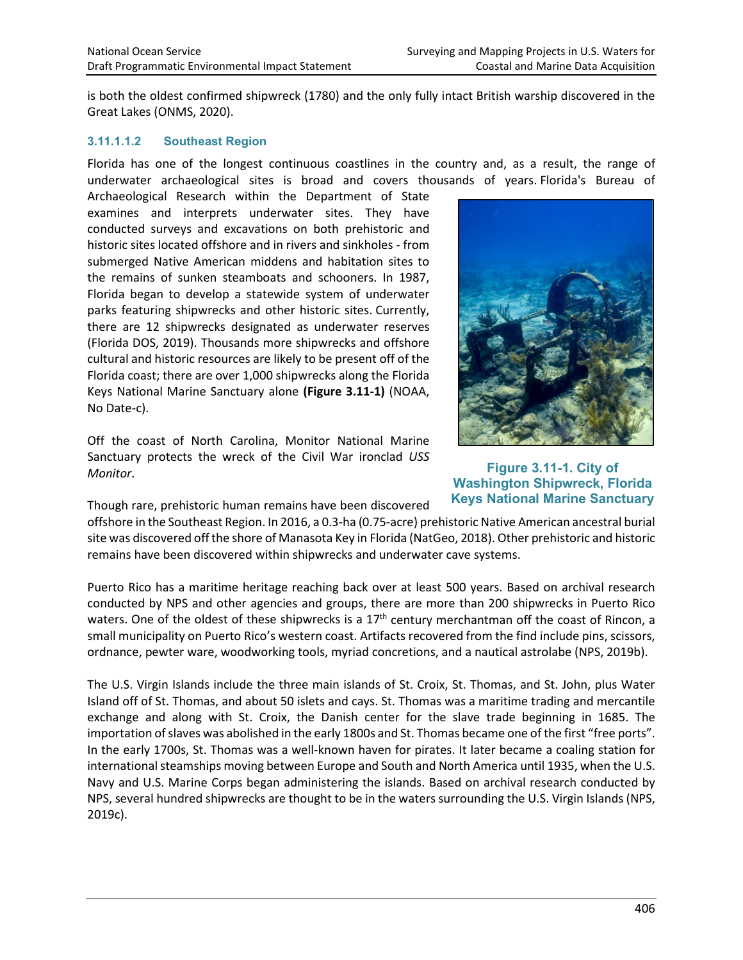is both the oldest confirmed shipwreck (1780) and the only fully intact British warship discovered in the Great Lakes (ONMS, 2020).

#### **3.11.1.1.2 Southeast Region**

Florida has one of the longest continuous coastlines in the country and, as a result, the range of underwater archaeological sites is broad and covers thousands of years. Florida's Bureau of

Archaeological Research within the Department of State examines and interprets underwater sites. They have conducted surveys and excavations on both prehistoric and historic sites located offshore and in rivers and sinkholes - from submerged Native American middens and habitation sites to the remains of sunken steamboats and schooners. In 1987, Florida began to develop a statewide system of underwater parks featuring shipwrecks and other historic sites. Currently, there are 12 shipwrecks designated as underwater reserves (Florida DOS, 2019). Thousands more shipwrecks and offshore cultural and historic resources are likely to be present off of the Florida coast; there are over 1,000 shipwrecks along the Florida Keys National Marine Sanctuary alone **(Figure 3.11-1)** (NOAA, No Date-c).

Off the coast of North Carolina, Monitor National Marine Sanctuary protects the wreck of the Civil War ironclad *USS Monitor*.

Though rare, prehistoric human remains have been discovered



**Figure 3.11-1. City of Washington Shipwreck, Florida Keys National Marine Sanctuary**

offshore in the Southeast Region. In 2016, a 0.3-ha (0.75-acre) prehistoric Native American ancestral burial site was discovered off the shore of Manasota Key in Florida (NatGeo, 2018). Other prehistoric and historic remains have been discovered within shipwrecks and underwater cave systems.

Puerto Rico has a maritime heritage reaching back over at least 500 years. Based on archival research conducted by NPS and other agencies and groups, there are more than 200 shipwrecks in Puerto Rico waters. One of the oldest of these shipwrecks is a 17<sup>th</sup> century merchantman off the coast of Rincon, a small municipality on Puerto Rico's western coast. Artifacts recovered from the find include pins, scissors, ordnance, pewter ware, woodworking tools, myriad concretions, and a nautical astrolabe (NPS, 2019b).

The U.S. Virgin Islands include the three main islands of St. Croix, St. Thomas, and St. John, plus Water Island off of St. Thomas, and about 50 islets and cays. St. Thomas was a maritime trading and mercantile exchange and along with St. Croix, the Danish center for the slave trade beginning in 1685. The importation of slaves was abolished in the early 1800s and St. Thomas became one of the first "free ports". In the early 1700s, St. Thomas was a well-known haven for pirates. It later became a coaling station for international steamships moving between Europe and South and North America until 1935, when the U.S. Navy and U.S. Marine Corps began administering the islands. Based on archival research conducted by NPS, several hundred shipwrecks are thought to be in the waters surrounding the U.S. Virgin Islands (NPS, 2019c).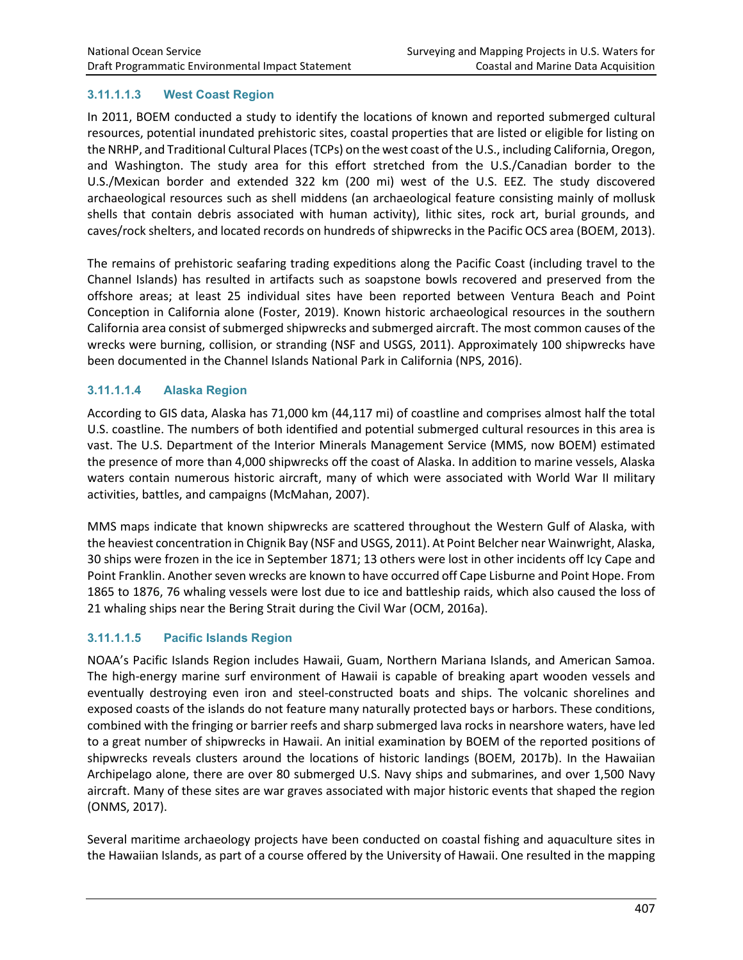### **3.11.1.1.3 West Coast Region**

In 2011, BOEM conducted a study to identify the locations of known and reported submerged cultural resources, potential inundated prehistoric sites, coastal properties that are listed or eligible for listing on the NRHP, and Traditional Cultural Places (TCPs) on the west coast of the U.S., including California, Oregon, and Washington. The study area for this effort stretched from the U.S./Canadian border to the U.S./Mexican border and extended 322 km (200 mi) west of the U.S. EEZ. The study discovered archaeological resources such as shell middens (an archaeological feature consisting mainly of mollusk shells that contain debris associated with human activity), lithic sites, rock art, burial grounds, and caves/rock shelters, and located records on hundreds of shipwrecks in the Pacific OCS area (BOEM, 2013).

The remains of prehistoric seafaring trading expeditions along the Pacific Coast (including travel to the Channel Islands) has resulted in artifacts such as soapstone bowls recovered and preserved from the offshore areas; at least 25 individual sites have been reported between Ventura Beach and Point Conception in California alone (Foster, 2019). Known historic archaeological resources in the southern California area consist of submerged shipwrecks and submerged aircraft. The most common causes of the wrecks were burning, collision, or stranding (NSF and USGS, 2011). Approximately 100 shipwrecks have been documented in the Channel Islands National Park in California (NPS, 2016).

### **3.11.1.1.4 Alaska Region**

According to GIS data, Alaska has 71,000 km (44,117 mi) of coastline and comprises almost half the total U.S. coastline. The numbers of both identified and potential submerged cultural resources in this area is vast. The U.S. Department of the Interior Minerals Management Service (MMS, now BOEM) estimated the presence of more than 4,000 shipwrecks off the coast of Alaska. In addition to marine vessels, Alaska waters contain numerous historic aircraft, many of which were associated with World War II military activities, battles, and campaigns (McMahan, 2007).

MMS maps indicate that known shipwrecks are scattered throughout the Western Gulf of Alaska, with the heaviest concentration in Chignik Bay (NSF and USGS, 2011). At Point Belcher near Wainwright, Alaska, 30 ships were frozen in the ice in September 1871; 13 others were lost in other incidents off Icy Cape and Point Franklin. Another seven wrecks are known to have occurred off Cape Lisburne and Point Hope. From 1865 to 1876, 76 whaling vessels were lost due to ice and battleship raids, which also caused the loss of 21 whaling ships near the Bering Strait during the Civil War (OCM, 2016a).

### **3.11.1.1.5 Pacific Islands Region**

NOAA's Pacific Islands Region includes Hawaii, Guam, Northern Mariana Islands, and American Samoa. The high-energy marine surf environment of Hawaii is capable of breaking apart wooden vessels and eventually destroying even iron and steel-constructed boats and ships. The volcanic shorelines and exposed coasts of the islands do not feature many naturally protected bays or harbors. These conditions, combined with the fringing or barrier reefs and sharp submerged lava rocks in nearshore waters, have led to a great number of shipwrecks in Hawaii. An initial examination by BOEM of the reported positions of shipwrecks reveals clusters around the locations of historic landings (BOEM, 2017b). In the Hawaiian Archipelago alone, there are over 80 submerged U.S. Navy ships and submarines, and over 1,500 Navy aircraft. Many of these sites are war graves associated with major historic events that shaped the region (ONMS, 2017).

Several maritime archaeology projects have been conducted on coastal fishing and aquaculture sites in the Hawaiian Islands, as part of a course offered by the University of Hawaii. One resulted in the mapping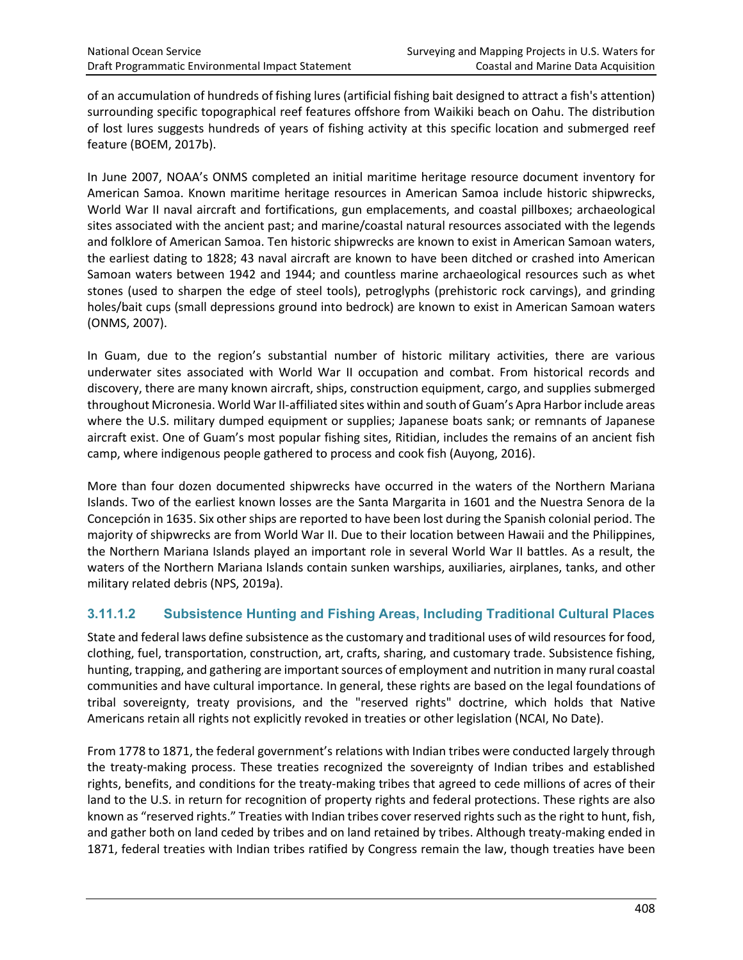of an accumulation of hundreds of fishing lures (artificial fishing bait designed to attract a fish's attention) surrounding specific topographical reef features offshore from Waikiki beach on Oahu. The distribution of lost lures suggests hundreds of years of fishing activity at this specific location and submerged reef feature (BOEM, 2017b).

In June 2007, NOAA's ONMS completed an initial maritime heritage resource document inventory for American Samoa. Known maritime heritage resources in American Samoa include historic shipwrecks, World War II naval aircraft and fortifications, gun emplacements, and coastal pillboxes; archaeological sites associated with the ancient past; and marine/coastal natural resources associated with the legends and folklore of American Samoa. Ten historic shipwrecks are known to exist in American Samoan waters, the earliest dating to 1828; 43 naval aircraft are known to have been ditched or crashed into American Samoan waters between 1942 and 1944; and countless marine archaeological resources such as whet stones (used to sharpen the edge of steel tools), petroglyphs (prehistoric rock carvings), and grinding holes/bait cups (small depressions ground into bedrock) are known to exist in American Samoan waters (ONMS, 2007).

In Guam, due to the region's substantial number of historic military activities, there are various underwater sites associated with World War II occupation and combat. From historical records and discovery, there are many known aircraft, ships, construction equipment, cargo, and supplies submerged throughout Micronesia. World War II-affiliated sites within and south of Guam's Apra Harbor include areas where the U.S. military dumped equipment or supplies; Japanese boats sank; or remnants of Japanese aircraft exist. One of Guam's most popular fishing sites, Ritidian, includes the remains of an ancient fish camp, where indigenous people gathered to process and cook fish (Auyong, 2016).

More than four dozen documented shipwrecks have occurred in the waters of the Northern Mariana Islands. Two of the earliest known losses are the Santa Margarita in 1601 and the Nuestra Senora de la Concepción in 1635. Six other ships are reported to have been lost during the Spanish colonial period. The majority of shipwrecks are from World War II. Due to their location between Hawaii and the Philippines, the Northern Mariana Islands played an important role in several World War II battles. As a result, the waters of the Northern Mariana Islands contain sunken warships, auxiliaries, airplanes, tanks, and other military related debris (NPS, 2019a).

# **3.11.1.2 Subsistence Hunting and Fishing Areas, Including Traditional Cultural Places**

State and federal laws define subsistence as the customary and traditional uses of wild resources for food, clothing, fuel, transportation, construction, art, crafts, sharing, and customary trade. Subsistence fishing, hunting, trapping, and gathering are important sources of employment and nutrition in many rural coastal communities and have cultural importance. In general, these rights are based on the legal foundations of tribal sovereignty, treaty provisions, and the "reserved rights" doctrine, which holds that Native Americans retain all rights not explicitly revoked in treaties or other legislation (NCAI, No Date).

From 1778 to 1871, the federal government's relations with Indian tribes were conducted largely through the treaty-making process. These treaties recognized the sovereignty of Indian tribes and established rights, benefits, and conditions for the treaty-making tribes that agreed to cede millions of acres of their land to the U.S. in return for recognition of property rights and federal protections. These rights are also known as "reserved rights." Treaties with Indian tribes cover reserved rights such as the right to hunt, fish, and gather both on land ceded by tribes and on land retained by tribes. Although treaty-making ended in 1871, federal treaties with Indian tribes ratified by Congress remain the law, though treaties have been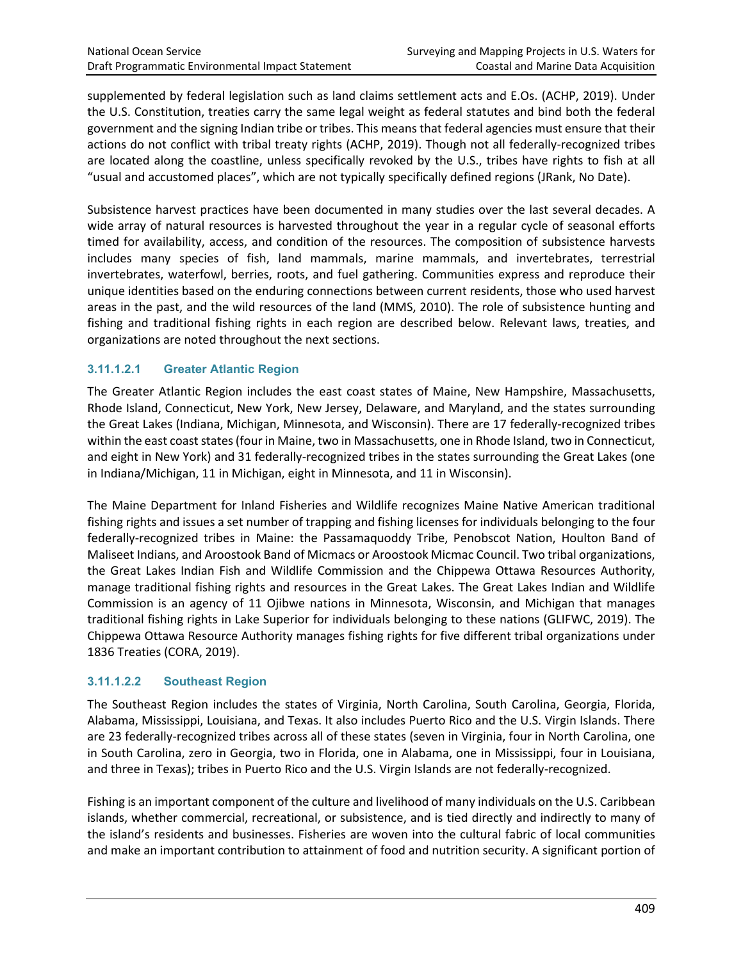supplemented by federal legislation such as land claims settlement acts and E.Os. (ACHP, 2019). Under the U.S. Constitution, treaties carry the same legal weight as federal statutes and bind both the federal government and the signing Indian tribe or tribes. This means that federal agencies must ensure that their actions do not conflict with tribal treaty rights (ACHP, 2019). Though not all federally-recognized tribes are located along the coastline, unless specifically revoked by the U.S., tribes have rights to fish at all "usual and accustomed places", which are not typically specifically defined regions (JRank, No Date).

Subsistence harvest practices have been documented in many studies over the last several decades. A wide array of natural resources is harvested throughout the year in a regular cycle of seasonal efforts timed for availability, access, and condition of the resources. The composition of subsistence harvests includes many species of fish, land mammals, marine mammals, and invertebrates, terrestrial invertebrates, waterfowl, berries, roots, and fuel gathering. Communities express and reproduce their unique identities based on the enduring connections between current residents, those who used harvest areas in the past, and the wild resources of the land (MMS, 2010). The role of subsistence hunting and fishing and traditional fishing rights in each region are described below. Relevant laws, treaties, and organizations are noted throughout the next sections.

# **3.11.1.2.1 Greater Atlantic Region**

The Greater Atlantic Region includes the east coast states of Maine, New Hampshire, Massachusetts, Rhode Island, Connecticut, New York, New Jersey, Delaware, and Maryland, and the states surrounding the Great Lakes (Indiana, Michigan, Minnesota, and Wisconsin). There are 17 federally-recognized tribes within the east coast states (four in Maine, two in Massachusetts, one in Rhode Island, two in Connecticut, and eight in New York) and 31 federally-recognized tribes in the states surrounding the Great Lakes (one in Indiana/Michigan, 11 in Michigan, eight in Minnesota, and 11 in Wisconsin).

The Maine Department for Inland Fisheries and Wildlife recognizes Maine Native American traditional fishing rights and issues a set number of trapping and fishing licenses for individuals belonging to the four federally-recognized tribes in Maine: the Passamaquoddy Tribe, Penobscot Nation, Houlton Band of Maliseet Indians, and Aroostook Band of Micmacs or Aroostook Micmac Council. Two tribal organizations, the Great Lakes Indian Fish and Wildlife Commission and the Chippewa Ottawa Resources Authority, manage traditional fishing rights and resources in the Great Lakes. The Great Lakes Indian and Wildlife Commission is an agency of 11 Ojibwe nations in Minnesota, Wisconsin, and Michigan that manages traditional fishing rights in Lake Superior for individuals belonging to these nations (GLIFWC, 2019). The Chippewa Ottawa Resource Authority manages fishing rights for five different tribal organizations under 1836 Treaties (CORA, 2019).

### **3.11.1.2.2 Southeast Region**

The Southeast Region includes the states of Virginia, North Carolina, South Carolina, Georgia, Florida, Alabama, Mississippi, Louisiana, and Texas. It also includes Puerto Rico and the U.S. Virgin Islands. There are 23 federally-recognized tribes across all of these states (seven in Virginia, four in North Carolina, one in South Carolina, zero in Georgia, two in Florida, one in Alabama, one in Mississippi, four in Louisiana, and three in Texas); tribes in Puerto Rico and the U.S. Virgin Islands are not federally-recognized.

Fishing is an important component of the culture and livelihood of many individuals on the U.S. Caribbean islands, whether commercial, recreational, or subsistence, and is tied directly and indirectly to many of the island's residents and businesses. Fisheries are woven into the cultural fabric of local communities and make an important contribution to attainment of food and nutrition security. A significant portion of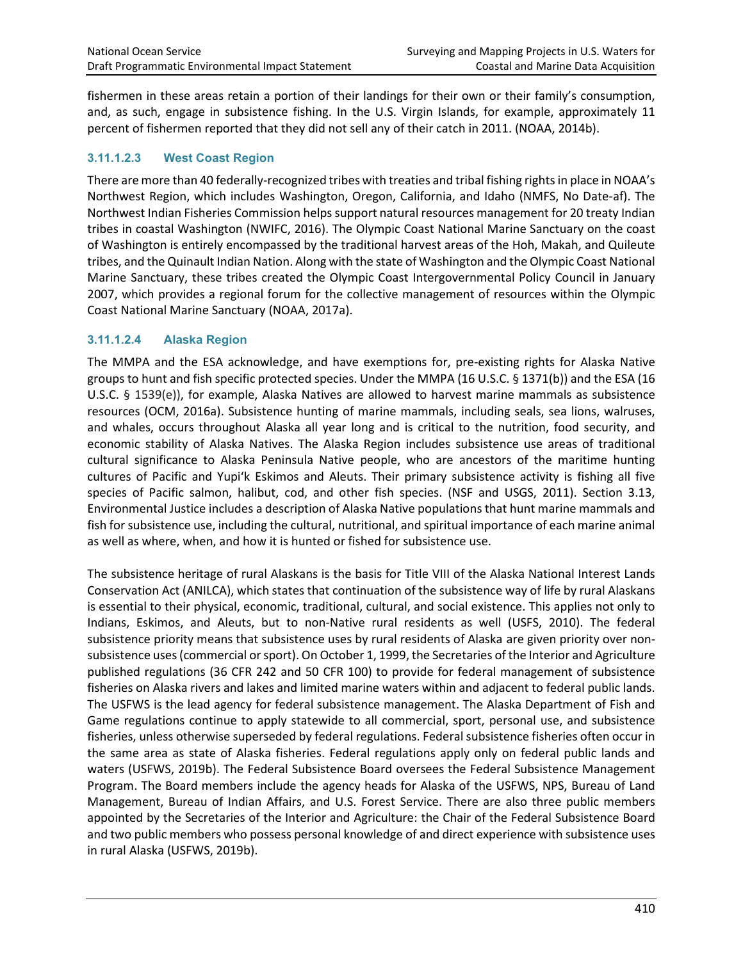fishermen in these areas retain a portion of their landings for their own or their family's consumption, and, as such, engage in subsistence fishing. In the U.S. Virgin Islands, for example, approximately 11 percent of fishermen reported that they did not sell any of their catch in 2011. (NOAA, 2014b).

#### **3.11.1.2.3 West Coast Region**

There are more than 40 federally-recognized tribes with treaties and tribal fishing rights in place in NOAA's Northwest Region, which includes Washington, Oregon, California, and Idaho (NMFS, No Date-af). The Northwest Indian Fisheries Commission helps support natural resources management for 20 treaty Indian tribes in coastal Washington (NWIFC, 2016). The Olympic Coast National Marine Sanctuary on the coast of Washington is entirely encompassed by the traditional harvest areas of the Hoh, Makah, and Quileute tribes, and the Quinault Indian Nation. Along with the state of Washington and the Olympic Coast National Marine Sanctuary, these tribes created the Olympic Coast Intergovernmental Policy Council in January 2007, which provides a regional forum for the collective management of resources within the Olympic Coast National Marine Sanctuary (NOAA, 2017a).

#### **3.11.1.2.4 Alaska Region**

The MMPA and the ESA acknowledge, and have exemptions for, pre-existing rights for Alaska Native groups to hunt and fish specific protected species. Under the MMPA (16 U.S.C. § 1371(b)) and the ESA (16 U.S.C. § 1539(e)), for example, Alaska Natives are allowed to harvest marine mammals as subsistence resources (OCM, 2016a). Subsistence hunting of marine mammals, including seals, sea lions, walruses, and whales, occurs throughout Alaska all year long and is critical to the nutrition, food security, and economic stability of Alaska Natives. The Alaska Region includes subsistence use areas of traditional cultural significance to Alaska Peninsula Native people, who are ancestors of the maritime hunting cultures of Pacific and Yupi'k Eskimos and Aleuts. Their primary subsistence activity is fishing all five species of Pacific salmon, halibut, cod, and other fish species. (NSF and USGS, 2011). Section 3.13, Environmental Justice includes a description of Alaska Native populations that hunt marine mammals and fish for subsistence use, including the cultural, nutritional, and spiritual importance of each marine animal as well as where, when, and how it is hunted or fished for subsistence use.

The subsistence heritage of rural Alaskans is the basis for Title VIII of the Alaska National Interest Lands Conservation Act (ANILCA), which states that continuation of the subsistence way of life by rural Alaskans is essential to their physical, economic, traditional, cultural, and social existence. This applies not only to Indians, Eskimos, and Aleuts, but to non-Native rural residents as well (USFS, 2010). The federal subsistence priority means that subsistence uses by rural residents of Alaska are given priority over nonsubsistence uses (commercial or sport). On October 1, 1999, the Secretaries of the Interior and Agriculture published regulations (36 CFR 242 and 50 CFR 100) to provide for federal management of subsistence fisheries on Alaska rivers and lakes and limited marine waters within and adjacent to federal public lands. The USFWS is the lead agency for federal subsistence management. The Alaska Department of Fish and Game regulations continue to apply statewide to all commercial, sport, personal use, and subsistence fisheries, unless otherwise superseded by federal regulations. Federal subsistence fisheries often occur in the same area as state of Alaska fisheries. Federal regulations apply only on federal public lands and waters (USFWS, 2019b). The Federal Subsistence Board oversees the Federal Subsistence Management Program. The Board members include the agency heads for Alaska of the USFWS, NPS, Bureau of Land Management, Bureau of Indian Affairs, and U.S. Forest Service. There are also three public members appointed by the Secretaries of the Interior and Agriculture: the Chair of the Federal Subsistence Board and two public members who possess personal knowledge of and direct experience with subsistence uses in rural Alaska (USFWS, 2019b).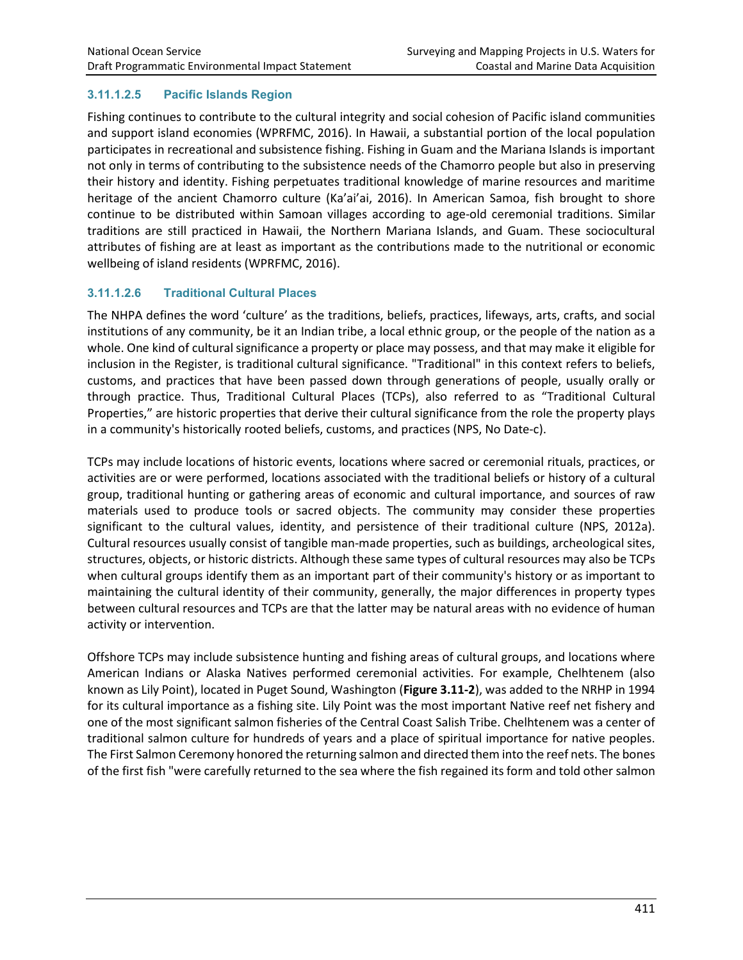# **3.11.1.2.5 Pacific Islands Region**

Fishing continues to contribute to the cultural integrity and social cohesion of Pacific island communities and support island economies (WPRFMC, 2016). In Hawaii, a substantial portion of the local population participates in recreational and subsistence fishing. Fishing in Guam and the Mariana Islands is important not only in terms of contributing to the subsistence needs of the Chamorro people but also in preserving their history and identity. Fishing perpetuates traditional knowledge of marine resources and maritime heritage of the ancient Chamorro culture (Ka'ai'ai, 2016). In American Samoa, fish brought to shore continue to be distributed within Samoan villages according to age-old ceremonial traditions. Similar traditions are still practiced in Hawaii, the Northern Mariana Islands, and Guam. These sociocultural attributes of fishing are at least as important as the contributions made to the nutritional or economic wellbeing of island residents (WPRFMC, 2016).

# **3.11.1.2.6 Traditional Cultural Places**

The NHPA defines the word 'culture' as the traditions, beliefs, practices, lifeways, arts, crafts, and social institutions of any community, be it an Indian tribe, a local ethnic group, or the people of the nation as a whole. One kind of cultural significance a property or place may possess, and that may make it eligible for inclusion in the Register, is traditional cultural significance. "Traditional" in this context refers to beliefs, customs, and practices that have been passed down through generations of people, usually orally or through practice. Thus, Traditional Cultural Places (TCPs), also referred to as "Traditional Cultural Properties," are historic properties that derive their cultural significance from the role the property plays in a community's historically rooted beliefs, customs, and practices (NPS, No Date-c).

TCPs may include locations of historic events, locations where sacred or ceremonial rituals, practices, or activities are or were performed, locations associated with the traditional beliefs or history of a cultural group, traditional hunting or gathering areas of economic and cultural importance, and sources of raw materials used to produce tools or sacred objects. The community may consider these properties significant to the cultural values, identity, and persistence of their traditional culture (NPS, 2012a). Cultural resources usually consist of tangible man-made properties, such as buildings, archeological sites, structures, objects, or historic districts. Although these same types of cultural resources may also be TCPs when cultural groups identify them as an important part of their community's history or as important to maintaining the cultural identity of their community, generally, the major differences in property types between cultural resources and TCPs are that the latter may be natural areas with no evidence of human activity or intervention.

Offshore TCPs may include subsistence hunting and fishing areas of cultural groups, and locations where American Indians or Alaska Natives performed ceremonial activities. For example, Chelhtenem (also known as Lily Point), located in Puget Sound, Washington (**Figure 3.11-2**), was added to the NRHP in 1994 for its cultural importance as a fishing site. Lily Point was the most important Native reef net fishery and one of the most significant salmon fisheries of the Central Coast Salish Tribe. Chelhtenem was a center of traditional salmon culture for hundreds of years and a place of spiritual importance for native peoples. The First Salmon Ceremony honored the returning salmon and directed them into the reef nets. The bones of the first fish "were carefully returned to the sea where the fish regained its form and told other salmon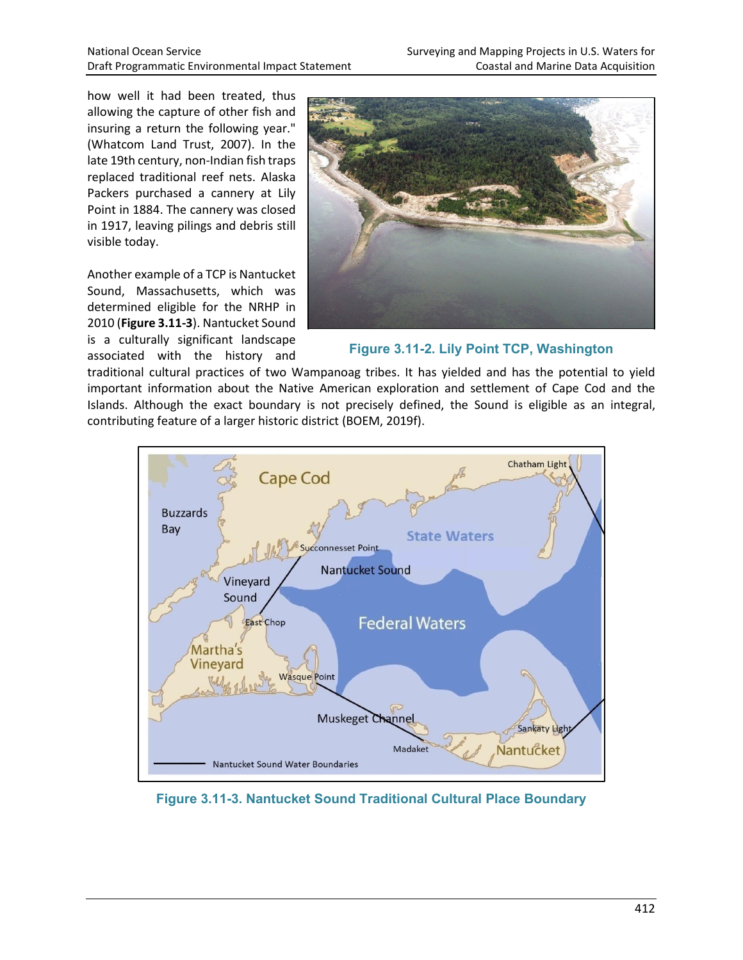how well it had been treated, thus allowing the capture of other fish and insuring a return the following year." (Whatcom Land Trust, 2007). In the late 19th century, non-Indian fish traps replaced traditional reef nets. Alaska Packers purchased a cannery at Lily Point in 1884. The cannery was closed in 1917, leaving pilings and debris still visible today.

Another example of a TCP is Nantucket Sound, Massachusetts, which was determined eligible for the NRHP in 2010 (**Figure 3.11-3**). Nantucket Sound is a culturally significant landscape associated with the history and



**Figure 3.11-2. Lily Point TCP, Washington**

traditional cultural practices of two Wampanoag tribes. It has yielded and has the potential to yield important information about the Native American exploration and settlement of Cape Cod and the Islands. Although the exact boundary is not precisely defined, the Sound is eligible as an integral, contributing feature of a larger historic district (BOEM, 2019f).



**Figure 3.11-3. Nantucket Sound Traditional Cultural Place Boundary**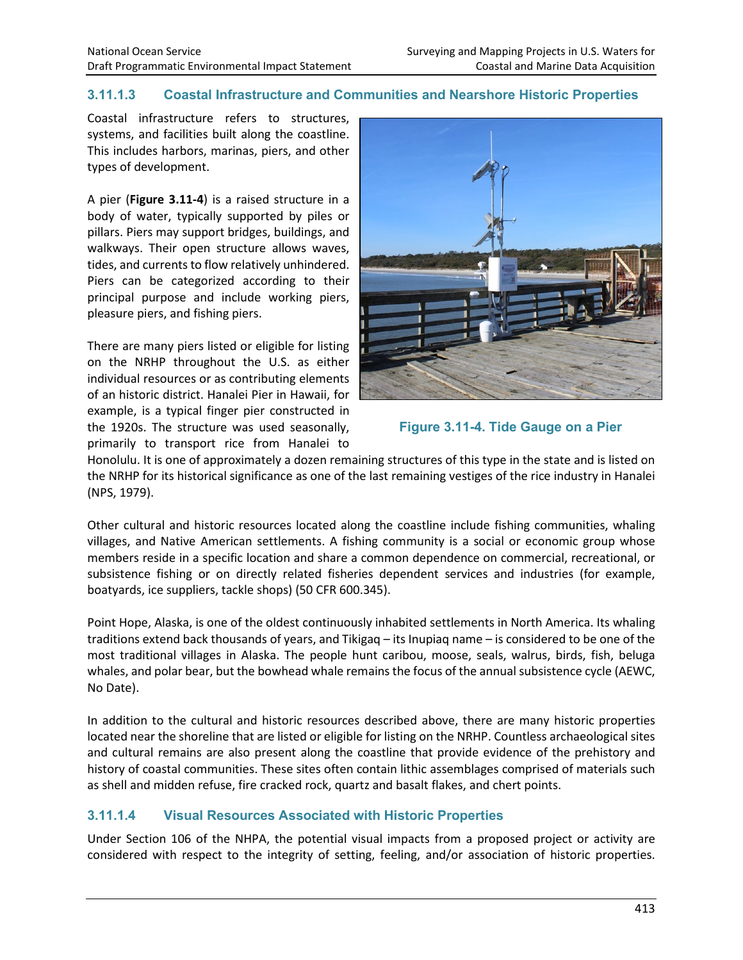# **3.11.1.3 Coastal Infrastructure and Communities and Nearshore Historic Properties**

Coastal infrastructure refers to structures, systems, and facilities built along the coastline. This includes harbors, marinas, piers, and other types of development.

A pier (**Figure 3.11-4**) is a raised structure in a body of water, typically supported by piles or pillars. Piers may support bridges, buildings, and walkways. Their open structure allows waves, tides, and currents to flow relatively unhindered. Piers can be categorized according to their principal purpose and include working piers, pleasure piers, and fishing piers.

There are many piers listed or eligible for listing on the NRHP throughout the U.S. as either individual resources or as contributing elements of an historic district. Hanalei Pier in Hawaii, for example, is a typical finger pier constructed in the 1920s. The structure was used seasonally, primarily to transport rice from Hanalei to





Honolulu. It is one of approximately a dozen remaining structures of this type in the state and is listed on the NRHP for its historical significance as one of the last remaining vestiges of the rice industry in Hanalei (NPS, 1979).

Other cultural and historic resources located along the coastline include fishing communities, whaling villages, and Native American settlements. A fishing community is a social or economic group whose members reside in a specific location and share a common dependence on commercial, recreational, or subsistence fishing or on directly related fisheries dependent services and industries (for example, boatyards, ice suppliers, tackle shops) (50 CFR 600.345).

Point Hope, Alaska, is one of the oldest continuously inhabited settlements in North America. Its whaling traditions extend back thousands of years, and Tikigaq – its Inupiaq name – is considered to be one of the most traditional villages in Alaska. The people hunt caribou, moose, seals, walrus, birds, fish, beluga whales, and polar bear, but the bowhead whale remains the focus of the annual subsistence cycle (AEWC, No Date).

In addition to the cultural and historic resources described above, there are many historic properties located near the shoreline that are listed or eligible for listing on the NRHP. Countless archaeological sites and cultural remains are also present along the coastline that provide evidence of the prehistory and history of coastal communities. These sites often contain lithic assemblages comprised of materials such as shell and midden refuse, fire cracked rock, quartz and basalt flakes, and chert points.

# **3.11.1.4 Visual Resources Associated with Historic Properties**

Under Section 106 of the NHPA, the potential visual impacts from a proposed project or activity are considered with respect to the integrity of setting, feeling, and/or association of historic properties.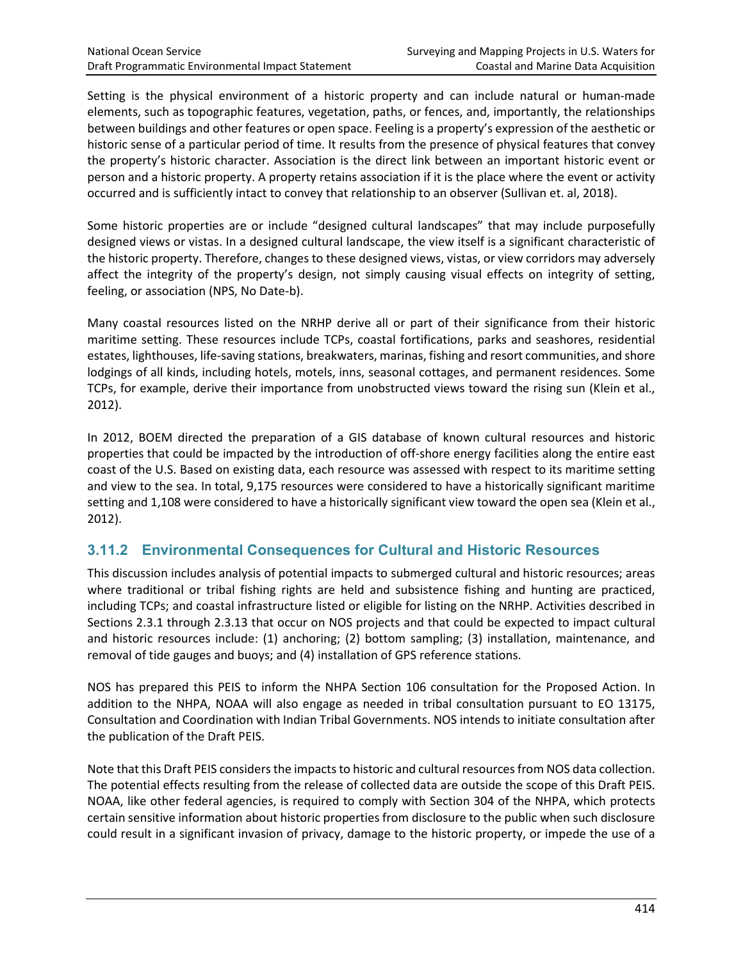Setting is the physical environment of a historic property and can include natural or human-made elements, such as topographic features, vegetation, paths, or fences, and, importantly, the relationships between buildings and other features or open space. Feeling is a property's expression of the aesthetic or historic sense of a particular period of time. It results from the presence of physical features that convey the property's historic character. Association is the direct link between an important historic event or person and a historic property. A property retains association if it is the place where the event or activity occurred and is sufficiently intact to convey that relationship to an observer (Sullivan et. al, 2018).

Some historic properties are or include "designed cultural landscapes" that may include purposefully designed views or vistas. In a designed cultural landscape, the view itself is a significant characteristic of the historic property. Therefore, changes to these designed views, vistas, or view corridors may adversely affect the integrity of the property's design, not simply causing visual effects on integrity of setting, feeling, or association (NPS, No Date-b).

Many coastal resources listed on the NRHP derive all or part of their significance from their historic maritime setting. These resources include TCPs, coastal fortifications, parks and seashores, residential estates, lighthouses, life-saving stations, breakwaters, marinas, fishing and resort communities, and shore lodgings of all kinds, including hotels, motels, inns, seasonal cottages, and permanent residences. Some TCPs, for example, derive their importance from unobstructed views toward the rising sun (Klein et al., 2012).

In 2012, BOEM directed the preparation of a GIS database of known cultural resources and historic properties that could be impacted by the introduction of off-shore energy facilities along the entire east coast of the U.S. Based on existing data, each resource was assessed with respect to its maritime setting and view to the sea. In total, 9,175 resources were considered to have a historically significant maritime setting and 1,108 were considered to have a historically significant view toward the open sea (Klein et al., 2012).

# **3.11.2 Environmental Consequences for Cultural and Historic Resources**

This discussion includes analysis of potential impacts to submerged cultural and historic resources; areas where traditional or tribal fishing rights are held and subsistence fishing and hunting are practiced, including TCPs; and coastal infrastructure listed or eligible for listing on the NRHP. Activities described in Sections 2.3.1 through 2.3.13 that occur on NOS projects and that could be expected to impact cultural and historic resources include: (1) anchoring; (2) bottom sampling; (3) installation, maintenance, and removal of tide gauges and buoys; and (4) installation of GPS reference stations.

NOS has prepared this PEIS to inform the NHPA Section 106 consultation for the Proposed Action. In addition to the NHPA, NOAA will also engage as needed in tribal consultation pursuant to EO 13175, Consultation and Coordination with Indian Tribal Governments. NOS intends to initiate consultation after the publication of the Draft PEIS.

Note that this Draft PEIS considers the impacts to historic and cultural resources from NOS data collection. The potential effects resulting from the release of collected data are outside the scope of this Draft PEIS. NOAA, like other federal agencies, is required to comply with Section 304 of the NHPA, which protects certain sensitive information about historic properties from disclosure to the public when such disclosure could result in a significant invasion of privacy, damage to the historic property, or impede the use of a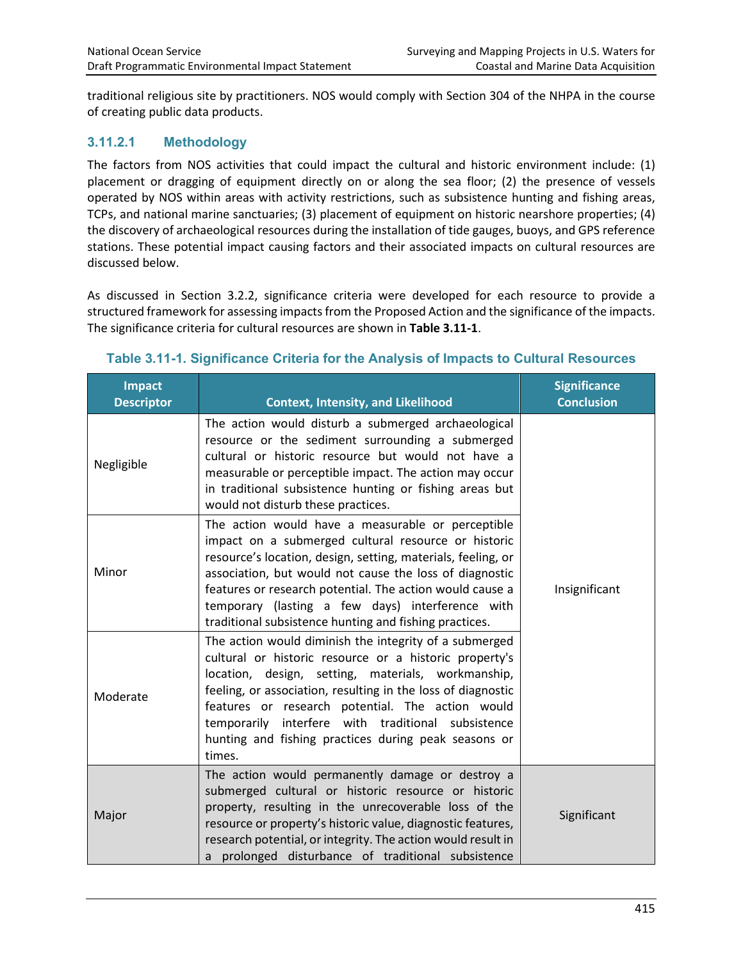traditional religious site by practitioners. NOS would comply with Section 304 of the NHPA in the course of creating public data products.

# **3.11.2.1 Methodology**

The factors from NOS activities that could impact the cultural and historic environment include: (1) placement or dragging of equipment directly on or along the sea floor; (2) the presence of vessels operated by NOS within areas with activity restrictions, such as subsistence hunting and fishing areas, TCPs, and national marine sanctuaries; (3) placement of equipment on historic nearshore properties; (4) the discovery of archaeological resources during the installation of tide gauges, buoys, and GPS reference stations. These potential impact causing factors and their associated impacts on cultural resources are discussed below.

As discussed in Section 3.2.2, significance criteria were developed for each resource to provide a structured framework for assessing impacts from the Proposed Action and the significance of the impacts. The significance criteria for cultural resources are shown in **Table 3.11-1**.

| <b>Impact</b><br><b>Descriptor</b> | <b>Context, Intensity, and Likelihood</b>                                                                                                                                                                                                                                                                                                                                                                          | <b>Significance</b><br><b>Conclusion</b> |
|------------------------------------|--------------------------------------------------------------------------------------------------------------------------------------------------------------------------------------------------------------------------------------------------------------------------------------------------------------------------------------------------------------------------------------------------------------------|------------------------------------------|
| Negligible                         | The action would disturb a submerged archaeological<br>resource or the sediment surrounding a submerged<br>cultural or historic resource but would not have a<br>measurable or perceptible impact. The action may occur<br>in traditional subsistence hunting or fishing areas but<br>would not disturb these practices.                                                                                           |                                          |
| Minor                              | The action would have a measurable or perceptible<br>impact on a submerged cultural resource or historic<br>resource's location, design, setting, materials, feeling, or<br>association, but would not cause the loss of diagnostic<br>features or research potential. The action would cause a<br>temporary (lasting a few days) interference with<br>traditional subsistence hunting and fishing practices.      | Insignificant                            |
| Moderate                           | The action would diminish the integrity of a submerged<br>cultural or historic resource or a historic property's<br>location, design, setting, materials, workmanship,<br>feeling, or association, resulting in the loss of diagnostic<br>features or research potential. The action would<br>temporarily interfere with traditional subsistence<br>hunting and fishing practices during peak seasons or<br>times. |                                          |
| Major                              | The action would permanently damage or destroy a<br>submerged cultural or historic resource or historic<br>property, resulting in the unrecoverable loss of the<br>resource or property's historic value, diagnostic features,<br>research potential, or integrity. The action would result in<br>a prolonged disturbance of traditional subsistence                                                               | Significant                              |

#### **Table 3.11-1. Significance Criteria for the Analysis of Impacts to Cultural Resources**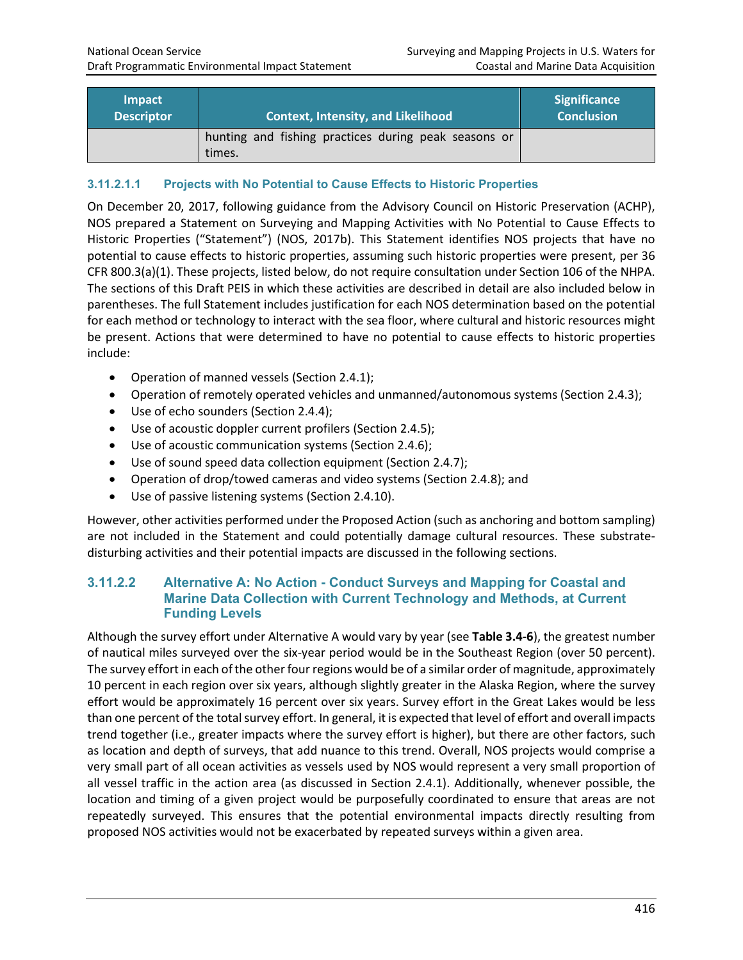| <b>Impact</b><br><b>Descriptor</b> | <b>Context, Intensity, and Likelihood</b>                      | <b>Significance</b><br><b>Conclusion</b> |
|------------------------------------|----------------------------------------------------------------|------------------------------------------|
|                                    | hunting and fishing practices during peak seasons or<br>times. |                                          |

### **3.11.2.1.1 Projects with No Potential to Cause Effects to Historic Properties**

On December 20, 2017, following guidance from the Advisory Council on Historic Preservation (ACHP), NOS prepared a Statement on Surveying and Mapping Activities with No Potential to Cause Effects to Historic Properties ("Statement") (NOS, 2017b). This Statement identifies NOS projects that have no potential to cause effects to historic properties, assuming such historic properties were present, per 36 CFR 800.3(a)(1). These projects, listed below, do not require consultation under Section 106 of the NHPA. The sections of this Draft PEIS in which these activities are described in detail are also included below in parentheses. The full Statement includes justification for each NOS determination based on the potential for each method or technology to interact with the sea floor, where cultural and historic resources might be present. Actions that were determined to have no potential to cause effects to historic properties include:

- Operation of manned vessels (Section 2.4.1);
- Operation of remotely operated vehicles and unmanned/autonomous systems (Section 2.4.3);
- Use of echo sounders (Section 2.4.4);
- Use of acoustic doppler current profilers (Section 2.4.5);
- Use of acoustic communication systems (Section 2.4.6);
- Use of sound speed data collection equipment (Section 2.4.7);
- Operation of drop/towed cameras and video systems (Section 2.4.8); and
- Use of passive listening systems (Section 2.4.10).

However, other activities performed under the Proposed Action (such as anchoring and bottom sampling) are not included in the Statement and could potentially damage cultural resources. These substratedisturbing activities and their potential impacts are discussed in the following sections.

#### **3.11.2.2 Alternative A: No Action - Conduct Surveys and Mapping for Coastal and Marine Data Collection with Current Technology and Methods, at Current Funding Levels**

Although the survey effort under Alternative A would vary by year (see **Table 3.4-6**), the greatest number of nautical miles surveyed over the six-year period would be in the Southeast Region (over 50 percent). The survey effort in each of the other four regions would be of a similar order of magnitude, approximately 10 percent in each region over six years, although slightly greater in the Alaska Region, where the survey effort would be approximately 16 percent over six years. Survey effort in the Great Lakes would be less than one percent of the total survey effort. In general, it is expected that level of effort and overall impacts trend together (i.e., greater impacts where the survey effort is higher), but there are other factors, such as location and depth of surveys, that add nuance to this trend. Overall, NOS projects would comprise a very small part of all ocean activities as vessels used by NOS would represent a very small proportion of all vessel traffic in the action area (as discussed in Section 2.4.1). Additionally, whenever possible, the location and timing of a given project would be purposefully coordinated to ensure that areas are not repeatedly surveyed. This ensures that the potential environmental impacts directly resulting from proposed NOS activities would not be exacerbated by repeated surveys within a given area.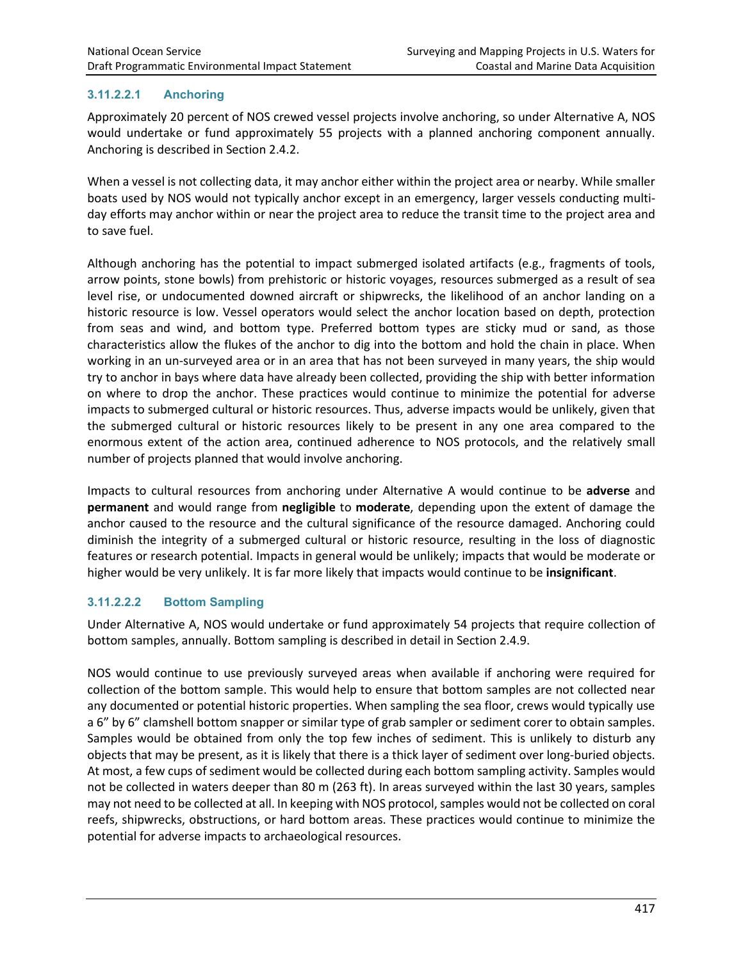# **3.11.2.2.1 Anchoring**

Approximately 20 percent of NOS crewed vessel projects involve anchoring, so under Alternative A, NOS would undertake or fund approximately 55 projects with a planned anchoring component annually. Anchoring is described in Section 2.4.2.

When a vessel is not collecting data, it may anchor either within the project area or nearby. While smaller boats used by NOS would not typically anchor except in an emergency, larger vessels conducting multiday efforts may anchor within or near the project area to reduce the transit time to the project area and to save fuel.

Although anchoring has the potential to impact submerged isolated artifacts (e.g., fragments of tools, arrow points, stone bowls) from prehistoric or historic voyages, resources submerged as a result of sea level rise, or undocumented downed aircraft or shipwrecks, the likelihood of an anchor landing on a historic resource is low. Vessel operators would select the anchor location based on depth, protection from seas and wind, and bottom type. Preferred bottom types are sticky mud or sand, as those characteristics allow the flukes of the anchor to dig into the bottom and hold the chain in place. When working in an un-surveyed area or in an area that has not been surveyed in many years, the ship would try to anchor in bays where data have already been collected, providing the ship with better information on where to drop the anchor. These practices would continue to minimize the potential for adverse impacts to submerged cultural or historic resources. Thus, adverse impacts would be unlikely, given that the submerged cultural or historic resources likely to be present in any one area compared to the enormous extent of the action area, continued adherence to NOS protocols, and the relatively small number of projects planned that would involve anchoring.

Impacts to cultural resources from anchoring under Alternative A would continue to be **adverse** and **permanent** and would range from **negligible** to **moderate**, depending upon the extent of damage the anchor caused to the resource and the cultural significance of the resource damaged. Anchoring could diminish the integrity of a submerged cultural or historic resource, resulting in the loss of diagnostic features or research potential. Impacts in general would be unlikely; impacts that would be moderate or higher would be very unlikely. It is far more likely that impacts would continue to be **insignificant**.

### **3.11.2.2.2 Bottom Sampling**

Under Alternative A, NOS would undertake or fund approximately 54 projects that require collection of bottom samples, annually. Bottom sampling is described in detail in Section 2.4.9.

NOS would continue to use previously surveyed areas when available if anchoring were required for collection of the bottom sample. This would help to ensure that bottom samples are not collected near any documented or potential historic properties. When sampling the sea floor, crews would typically use a 6" by 6" clamshell bottom snapper or similar type of grab sampler or sediment corer to obtain samples. Samples would be obtained from only the top few inches of sediment. This is unlikely to disturb any objects that may be present, as it is likely that there is a thick layer of sediment over long-buried objects. At most, a few cups of sediment would be collected during each bottom sampling activity. Samples would not be collected in waters deeper than 80 m (263 ft). In areas surveyed within the last 30 years, samples may not need to be collected at all. In keeping with NOS protocol, samples would not be collected on coral reefs, shipwrecks, obstructions, or hard bottom areas. These practices would continue to minimize the potential for adverse impacts to archaeological resources.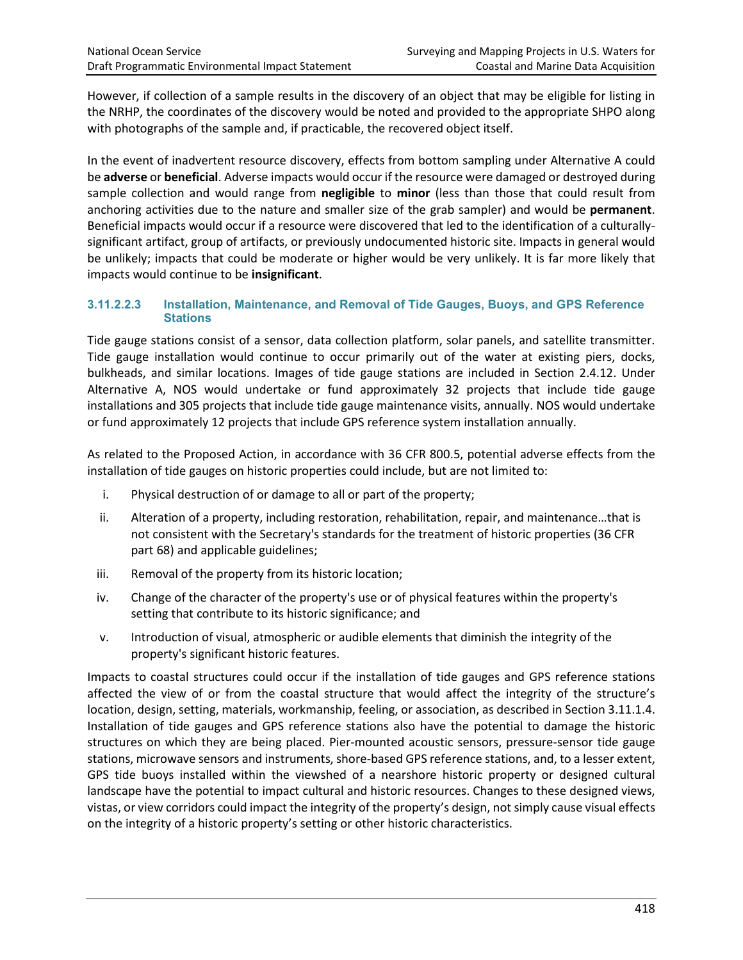However, if collection of a sample results in the discovery of an object that may be eligible for listing in the NRHP, the coordinates of the discovery would be noted and provided to the appropriate SHPO along with photographs of the sample and, if practicable, the recovered object itself.

In the event of inadvertent resource discovery, effects from bottom sampling under Alternative A could be **adverse** or **beneficial**. Adverse impacts would occur if the resource were damaged or destroyed during sample collection and would range from **negligible** to **minor** (less than those that could result from anchoring activities due to the nature and smaller size of the grab sampler) and would be **permanent**. Beneficial impacts would occur if a resource were discovered that led to the identification of a culturallysignificant artifact, group of artifacts, or previously undocumented historic site. Impacts in general would be unlikely; impacts that could be moderate or higher would be very unlikely. It is far more likely that impacts would continue to be **insignificant**.

#### **3.11.2.2.3 Installation, Maintenance, and Removal of Tide Gauges, Buoys, and GPS Reference Stations**

Tide gauge stations consist of a sensor, data collection platform, solar panels, and satellite transmitter. Tide gauge installation would continue to occur primarily out of the water at existing piers, docks, bulkheads, and similar locations. Images of tide gauge stations are included in Section 2.4.12. Under Alternative A, NOS would undertake or fund approximately 32 projects that include tide gauge installations and 305 projects that include tide gauge maintenance visits, annually. NOS would undertake or fund approximately 12 projects that include GPS reference system installation annually.

As related to the Proposed Action, in accordance with 36 CFR 800.5, potential adverse effects from the installation of tide gauges on historic properties could include, but are not limited to:

- i. Physical destruction of or damage to all or part of the property;
- ii. Alteration of a property, including restoration, rehabilitation, repair, and maintenance…that is not consistent with the Secretary's standards for the treatment of historic properties (36 CFR part 68) and applicable guidelines;
- iii. Removal of the property from its historic location;
- iv. Change of the character of the property's use or of physical features within the property's setting that contribute to its historic significance; and
- v. Introduction of visual, atmospheric or audible elements that diminish the integrity of the property's significant historic features.

Impacts to coastal structures could occur if the installation of tide gauges and GPS reference stations affected the view of or from the coastal structure that would affect the integrity of the structure's location, design, setting, materials, workmanship, feeling, or association, as described in Section 3.11.1.4. Installation of tide gauges and GPS reference stations also have the potential to damage the historic structures on which they are being placed. Pier-mounted acoustic sensors, pressure-sensor tide gauge stations, microwave sensors and instruments, shore-based GPS reference stations, and, to a lesser extent, GPS tide buoys installed within the viewshed of a nearshore historic property or designed cultural landscape have the potential to impact cultural and historic resources. Changes to these designed views, vistas, or view corridors could impact the integrity of the property's design, not simply cause visual effects on the integrity of a historic property's setting or other historic characteristics.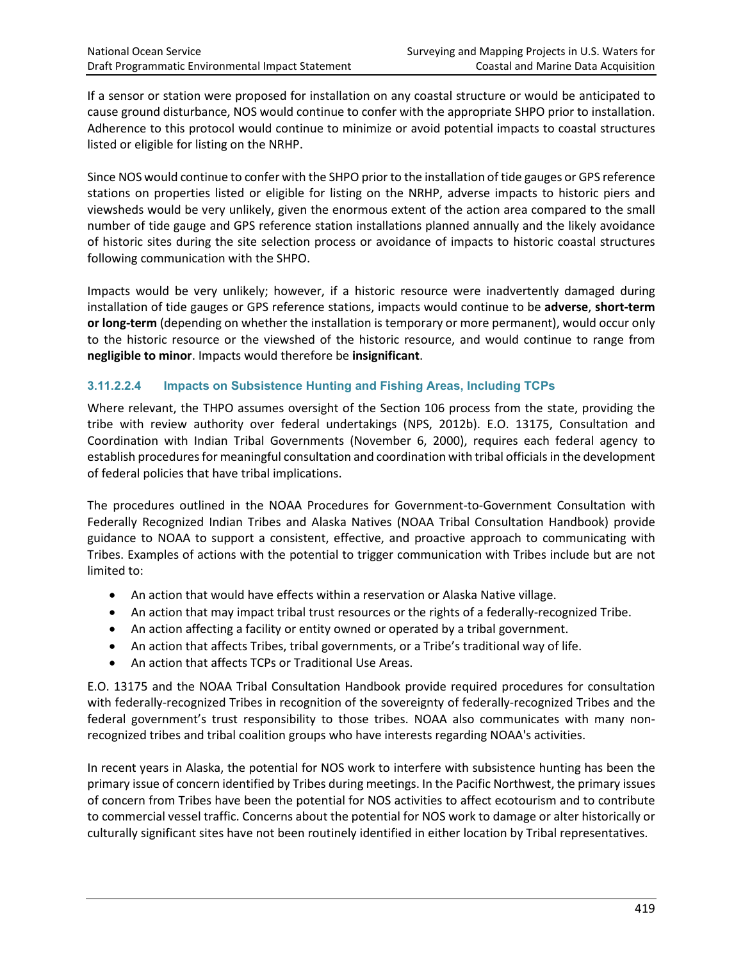If a sensor or station were proposed for installation on any coastal structure or would be anticipated to cause ground disturbance, NOS would continue to confer with the appropriate SHPO prior to installation. Adherence to this protocol would continue to minimize or avoid potential impacts to coastal structures listed or eligible for listing on the NRHP.

Since NOS would continue to confer with the SHPO prior to the installation of tide gauges or GPS reference stations on properties listed or eligible for listing on the NRHP, adverse impacts to historic piers and viewsheds would be very unlikely, given the enormous extent of the action area compared to the small number of tide gauge and GPS reference station installations planned annually and the likely avoidance of historic sites during the site selection process or avoidance of impacts to historic coastal structures following communication with the SHPO.

Impacts would be very unlikely; however, if a historic resource were inadvertently damaged during installation of tide gauges or GPS reference stations, impacts would continue to be **adverse**, **short-term or long-term** (depending on whether the installation is temporary or more permanent), would occur only to the historic resource or the viewshed of the historic resource, and would continue to range from **negligible to minor**. Impacts would therefore be **insignificant**.

### **3.11.2.2.4 Impacts on Subsistence Hunting and Fishing Areas, Including TCPs**

Where relevant, the THPO assumes oversight of the Section 106 process from the state, providing the tribe with review authority over federal undertakings (NPS, 2012b). E.O. 13175, Consultation and Coordination with Indian Tribal Governments (November 6, 2000), requires each federal agency to establish procedures for meaningful consultation and coordination with tribal officials in the development of federal policies that have tribal implications.

The procedures outlined in the NOAA Procedures for Government-to-Government Consultation with Federally Recognized Indian Tribes and Alaska Natives (NOAA Tribal Consultation Handbook) provide guidance to NOAA to support a consistent, effective, and proactive approach to communicating with Tribes. Examples of actions with the potential to trigger communication with Tribes include but are not limited to:

- An action that would have effects within a reservation or Alaska Native village.
- An action that may impact tribal trust resources or the rights of a federally-recognized Tribe.
- An action affecting a facility or entity owned or operated by a tribal government.
- An action that affects Tribes, tribal governments, or a Tribe's traditional way of life.
- An action that affects TCPs or Traditional Use Areas.

E.O. 13175 and the NOAA Tribal Consultation Handbook provide required procedures for consultation with federally-recognized Tribes in recognition of the sovereignty of federally-recognized Tribes and the federal government's trust responsibility to those tribes. NOAA also communicates with many nonrecognized tribes and tribal coalition groups who have interests regarding NOAA's activities.

In recent years in Alaska, the potential for NOS work to interfere with subsistence hunting has been the primary issue of concern identified by Tribes during meetings. In the Pacific Northwest, the primary issues of concern from Tribes have been the potential for NOS activities to affect ecotourism and to contribute to commercial vessel traffic. Concerns about the potential for NOS work to damage or alter historically or culturally significant sites have not been routinely identified in either location by Tribal representatives.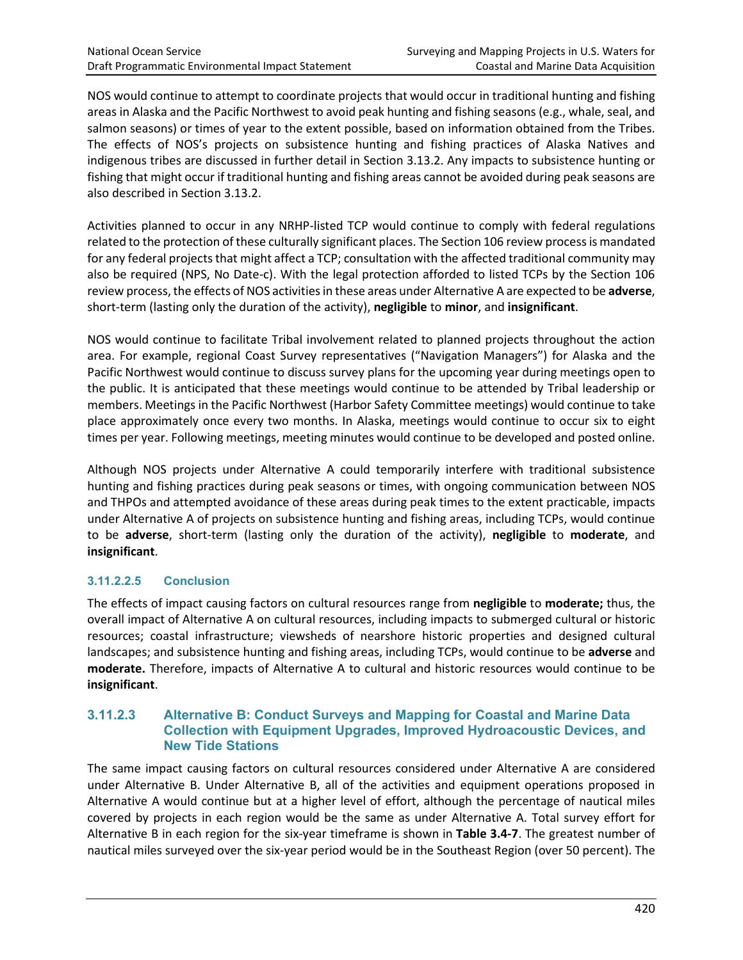NOS would continue to attempt to coordinate projects that would occur in traditional hunting and fishing areas in Alaska and the Pacific Northwest to avoid peak hunting and fishing seasons (e.g., whale, seal, and salmon seasons) or times of year to the extent possible, based on information obtained from the Tribes. The effects of NOS's projects on subsistence hunting and fishing practices of Alaska Natives and indigenous tribes are discussed in further detail in Section 3.13.2. Any impacts to subsistence hunting or fishing that might occur if traditional hunting and fishing areas cannot be avoided during peak seasons are also described in Section 3.13.2.

Activities planned to occur in any NRHP-listed TCP would continue to comply with federal regulations related to the protection of these culturally significant places. The Section 106 review process is mandated for any federal projects that might affect a TCP; consultation with the affected traditional community may also be required (NPS, No Date-c). With the legal protection afforded to listed TCPs by the Section 106 review process, the effects of NOS activities in these areas under Alternative A are expected to be **adverse**, short-term (lasting only the duration of the activity), **negligible** to **minor**, and **insignificant**.

NOS would continue to facilitate Tribal involvement related to planned projects throughout the action area. For example, regional Coast Survey representatives ("Navigation Managers") for Alaska and the Pacific Northwest would continue to discuss survey plans for the upcoming year during meetings open to the public. It is anticipated that these meetings would continue to be attended by Tribal leadership or members. Meetings in the Pacific Northwest (Harbor Safety Committee meetings) would continue to take place approximately once every two months. In Alaska, meetings would continue to occur six to eight times per year. Following meetings, meeting minutes would continue to be developed and posted online.

Although NOS projects under Alternative A could temporarily interfere with traditional subsistence hunting and fishing practices during peak seasons or times, with ongoing communication between NOS and THPOs and attempted avoidance of these areas during peak times to the extent practicable, impacts under Alternative A of projects on subsistence hunting and fishing areas, including TCPs, would continue to be **adverse**, short-term (lasting only the duration of the activity), **negligible** to **moderate**, and **insignificant**.

# **3.11.2.2.5 Conclusion**

The effects of impact causing factors on cultural resources range from **negligible** to **moderate;** thus, the overall impact of Alternative A on cultural resources, including impacts to submerged cultural or historic resources; coastal infrastructure; viewsheds of nearshore historic properties and designed cultural landscapes; and subsistence hunting and fishing areas, including TCPs, would continue to be **adverse** and **moderate.** Therefore, impacts of Alternative A to cultural and historic resources would continue to be **insignificant**.

#### **3.11.2.3 Alternative B: Conduct Surveys and Mapping for Coastal and Marine Data Collection with Equipment Upgrades, Improved Hydroacoustic Devices, and New Tide Stations**

The same impact causing factors on cultural resources considered under Alternative A are considered under Alternative B. Under Alternative B, all of the activities and equipment operations proposed in Alternative A would continue but at a higher level of effort, although the percentage of nautical miles covered by projects in each region would be the same as under Alternative A. Total survey effort for Alternative B in each region for the six-year timeframe is shown in **Table 3.4-7**. The greatest number of nautical miles surveyed over the six-year period would be in the Southeast Region (over 50 percent). The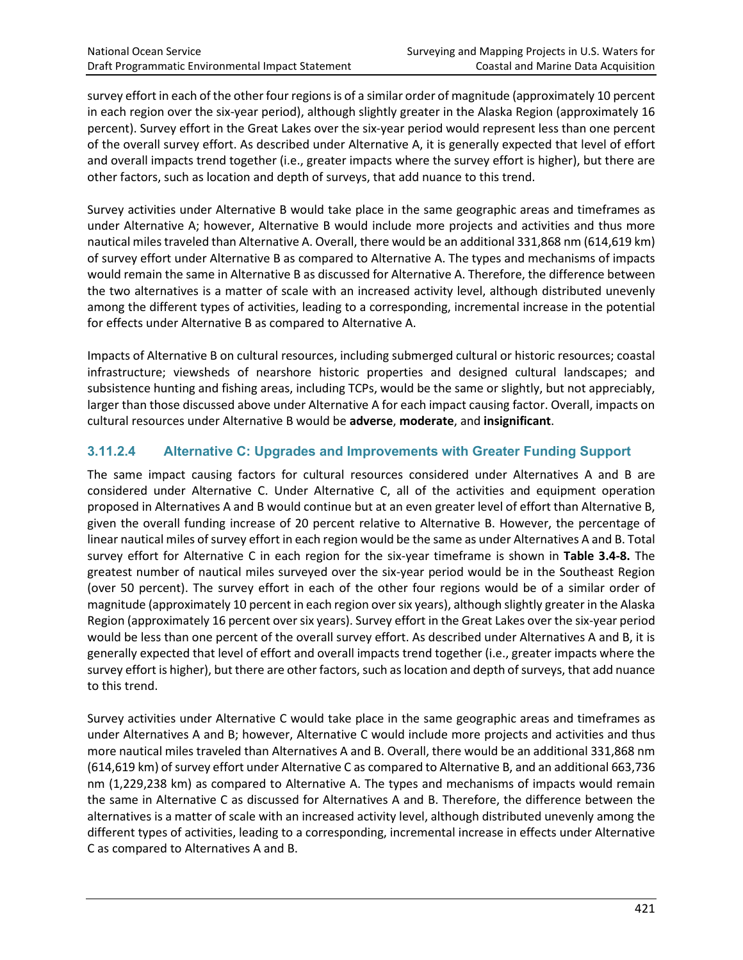survey effort in each of the other four regions is of a similar order of magnitude (approximately 10 percent in each region over the six-year period), although slightly greater in the Alaska Region (approximately 16 percent). Survey effort in the Great Lakes over the six-year period would represent less than one percent of the overall survey effort. As described under Alternative A, it is generally expected that level of effort and overall impacts trend together (i.e., greater impacts where the survey effort is higher), but there are other factors, such as location and depth of surveys, that add nuance to this trend.

Survey activities under Alternative B would take place in the same geographic areas and timeframes as under Alternative A; however, Alternative B would include more projects and activities and thus more nautical miles traveled than Alternative A. Overall, there would be an additional 331,868 nm (614,619 km) of survey effort under Alternative B as compared to Alternative A. The types and mechanisms of impacts would remain the same in Alternative B as discussed for Alternative A. Therefore, the difference between the two alternatives is a matter of scale with an increased activity level, although distributed unevenly among the different types of activities, leading to a corresponding, incremental increase in the potential for effects under Alternative B as compared to Alternative A.

Impacts of Alternative B on cultural resources, including submerged cultural or historic resources; coastal infrastructure; viewsheds of nearshore historic properties and designed cultural landscapes; and subsistence hunting and fishing areas, including TCPs, would be the same or slightly, but not appreciably, larger than those discussed above under Alternative A for each impact causing factor. Overall, impacts on cultural resources under Alternative B would be **adverse**, **moderate**, and **insignificant**.

# **3.11.2.4 Alternative C: Upgrades and Improvements with Greater Funding Support**

The same impact causing factors for cultural resources considered under Alternatives A and B are considered under Alternative C. Under Alternative C, all of the activities and equipment operation proposed in Alternatives A and B would continue but at an even greater level of effort than Alternative B, given the overall funding increase of 20 percent relative to Alternative B. However, the percentage of linear nautical miles of survey effort in each region would be the same as under Alternatives A and B. Total survey effort for Alternative C in each region for the six-year timeframe is shown in **Table 3.4-8.** The greatest number of nautical miles surveyed over the six-year period would be in the Southeast Region (over 50 percent). The survey effort in each of the other four regions would be of a similar order of magnitude (approximately 10 percent in each region over six years), although slightly greater in the Alaska Region (approximately 16 percent over six years). Survey effort in the Great Lakes over the six-year period would be less than one percent of the overall survey effort. As described under Alternatives A and B, it is generally expected that level of effort and overall impacts trend together (i.e., greater impacts where the survey effort is higher), but there are other factors, such as location and depth of surveys, that add nuance to this trend.

Survey activities under Alternative C would take place in the same geographic areas and timeframes as under Alternatives A and B; however, Alternative C would include more projects and activities and thus more nautical miles traveled than Alternatives A and B. Overall, there would be an additional 331,868 nm (614,619 km) of survey effort under Alternative C as compared to Alternative B, and an additional 663,736 nm (1,229,238 km) as compared to Alternative A. The types and mechanisms of impacts would remain the same in Alternative C as discussed for Alternatives A and B. Therefore, the difference between the alternatives is a matter of scale with an increased activity level, although distributed unevenly among the different types of activities, leading to a corresponding, incremental increase in effects under Alternative C as compared to Alternatives A and B.